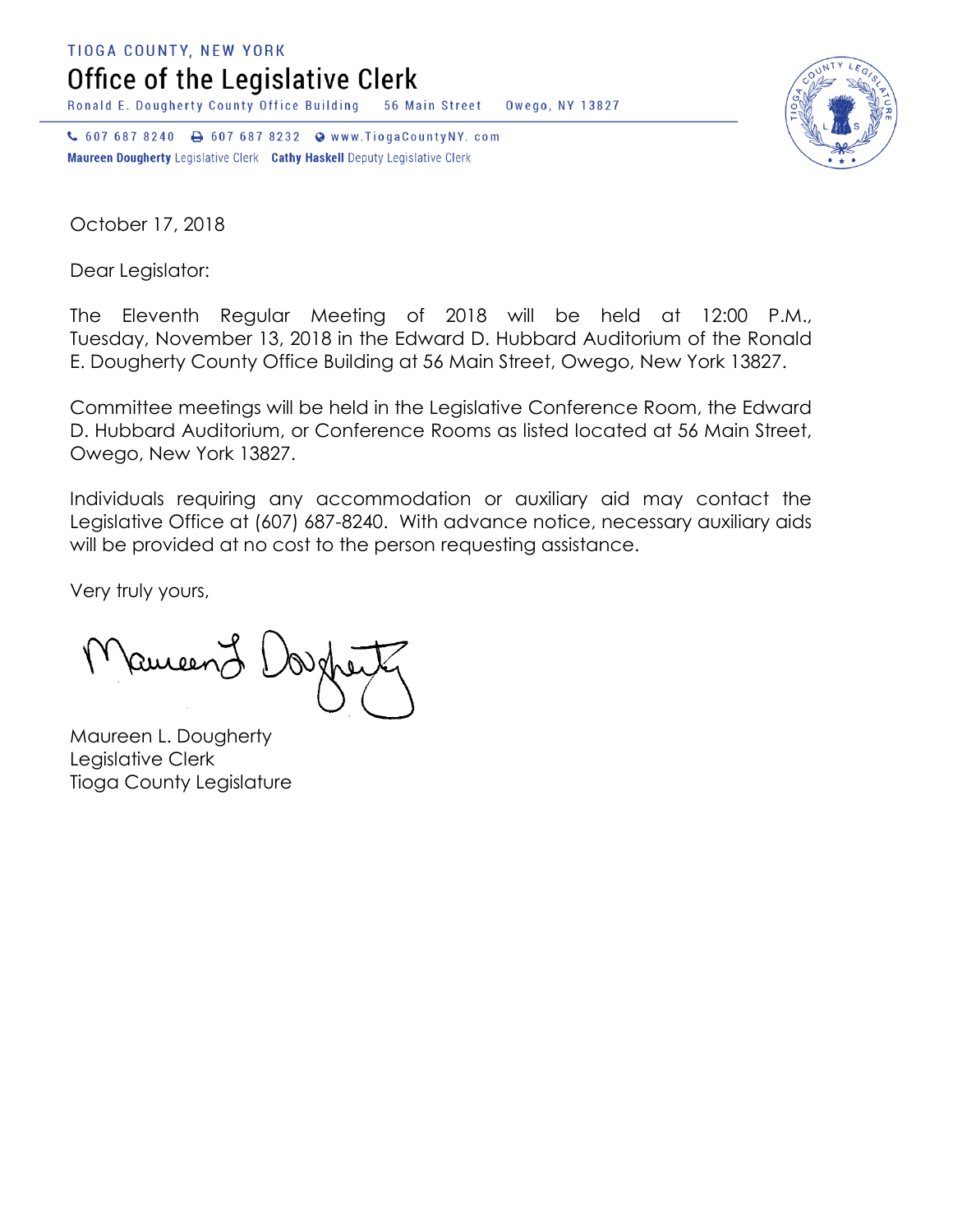**TIOGA COUNTY, NEW YORK** 

Office of the Legislative Clerk

Ronald E. Dougherty County Office Building 56 Main Street Owego, NY 13827

↓ 607 687 8240 → 607 687 8232 → www.TiogaCountyNY.com Maureen Dougherty Legislative Clerk Cathy Haskell Deputy Legislative Clerk



October 17, 2018

Dear Legislator:

The Eleventh Regular Meeting of 2018 will be held at 12:00 P.M., Tuesday, November 13, 2018 in the Edward D. Hubbard Auditorium of the Ronald E. Dougherty County Office Building at 56 Main Street, Owego, New York 13827.

Committee meetings will be held in the Legislative Conference Room, the Edward D. Hubbard Auditorium, or Conference Rooms as listed located at 56 Main Street, Owego, New York 13827.

Individuals requiring any accommodation or auxiliary aid may contact the Legislative Office at (607) 687-8240. With advance notice, necessary auxiliary aids will be provided at no cost to the person requesting assistance.

Very truly yours,

Remeen

Maureen L. Dougherty Legislative Clerk Tioga County Legislature